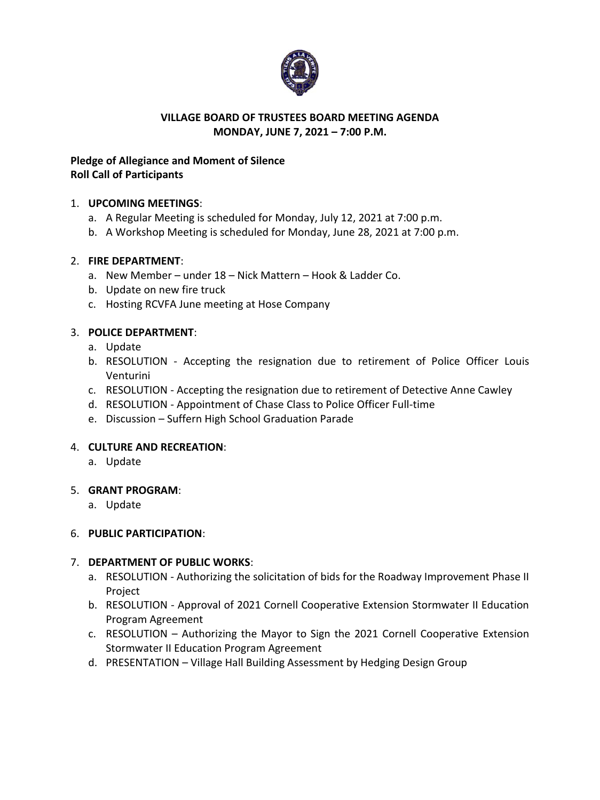

### **VILLAGE BOARD OF TRUSTEES BOARD MEETING AGENDA MONDAY, JUNE 7, 2021 – 7:00 P.M.**

# **Pledge of Allegiance and Moment of Silence Roll Call of Participants**

# 1. **UPCOMING MEETINGS**:

- a. A Regular Meeting is scheduled for Monday, July 12, 2021 at 7:00 p.m.
- b. A Workshop Meeting is scheduled for Monday, June 28, 2021 at 7:00 p.m.

# 2. **FIRE DEPARTMENT**:

- a. New Member under 18 Nick Mattern Hook & Ladder Co.
- b. Update on new fire truck
- c. Hosting RCVFA June meeting at Hose Company

# 3. **POLICE DEPARTMENT**:

- a. Update
- b. RESOLUTION Accepting the resignation due to retirement of Police Officer Louis Venturini
- c. RESOLUTION Accepting the resignation due to retirement of Detective Anne Cawley
- d. RESOLUTION Appointment of Chase Class to Police Officer Full-time
- e. Discussion Suffern High School Graduation Parade

### 4. **CULTURE AND RECREATION**:

a. Update

### 5. **GRANT PROGRAM**:

a. Update

### 6. **PUBLIC PARTICIPATION**:

### 7. **DEPARTMENT OF PUBLIC WORKS**:

- a. RESOLUTION Authorizing the solicitation of bids for the Roadway Improvement Phase II Project
- b. RESOLUTION Approval of 2021 Cornell Cooperative Extension Stormwater II Education Program Agreement
- c. RESOLUTION Authorizing the Mayor to Sign the 2021 Cornell Cooperative Extension Stormwater II Education Program Agreement
- d. PRESENTATION Village Hall Building Assessment by Hedging Design Group